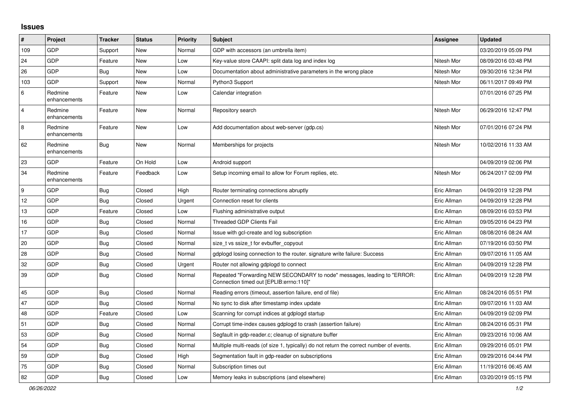## **Issues**

| $\sharp$       | Project                 | <b>Tracker</b> | <b>Status</b> | <b>Priority</b> | <b>Subject</b>                                                                                                      | <b>Assignee</b> | <b>Updated</b>      |
|----------------|-------------------------|----------------|---------------|-----------------|---------------------------------------------------------------------------------------------------------------------|-----------------|---------------------|
| 109            | GDP                     | Support        | New           | Normal          | GDP with accessors (an umbrella item)                                                                               |                 | 03/20/2019 05:09 PM |
| 24             | GDP                     | Feature        | New           | Low             | Key-value store CAAPI: split data log and index log                                                                 | Nitesh Mor      | 08/09/2016 03:48 PM |
| 26             | GDP                     | Bug            | <b>New</b>    | Low             | Documentation about administrative parameters in the wrong place                                                    | Nitesh Mor      | 09/30/2016 12:34 PM |
| 103            | <b>GDP</b>              | Support        | New           | Normal          | Python3 Support                                                                                                     | Nitesh Mor      | 06/11/2017 09:49 PM |
| $\,6\,$        | Redmine<br>enhancements | Feature        | New           | Low             | Calendar integration                                                                                                |                 | 07/01/2016 07:25 PM |
| $\overline{4}$ | Redmine<br>enhancements | Feature        | <b>New</b>    | Normal          | Repository search                                                                                                   | Nitesh Mor      | 06/29/2016 12:47 PM |
| $\bf 8$        | Redmine<br>enhancements | Feature        | New           | Low             | Add documentation about web-server (gdp.cs)                                                                         | Nitesh Mor      | 07/01/2016 07:24 PM |
| 62             | Redmine<br>enhancements | <b>Bug</b>     | New           | Normal          | Memberships for projects                                                                                            | Nitesh Mor      | 10/02/2016 11:33 AM |
| 23             | GDP                     | Feature        | On Hold       | Low             | Android support                                                                                                     |                 | 04/09/2019 02:06 PM |
| 34             | Redmine<br>enhancements | Feature        | Feedback      | Low             | Setup incoming email to allow for Forum replies, etc.                                                               | Nitesh Mor      | 06/24/2017 02:09 PM |
| 9              | GDP                     | <b>Bug</b>     | Closed        | High            | Router terminating connections abruptly                                                                             | Eric Allman     | 04/09/2019 12:28 PM |
| 12             | GDP                     | <b>Bug</b>     | Closed        | Urgent          | Connection reset for clients                                                                                        | Eric Allman     | 04/09/2019 12:28 PM |
| 13             | GDP                     | Feature        | Closed        | Low             | Flushing administrative output                                                                                      | Eric Allman     | 08/09/2016 03:53 PM |
| 16             | <b>GDP</b>              | <b>Bug</b>     | Closed        | Normal          | <b>Threaded GDP Clients Fail</b>                                                                                    | Eric Allman     | 09/05/2016 04:23 PM |
| 17             | GDP                     | <b>Bug</b>     | Closed        | Normal          | Issue with gcl-create and log subscription                                                                          | Eric Allman     | 08/08/2016 08:24 AM |
| 20             | GDP                     | <b>Bug</b>     | Closed        | Normal          | size_t vs ssize_t for evbuffer_copyout                                                                              | Eric Allman     | 07/19/2016 03:50 PM |
| 28             | GDP                     | Bug            | Closed        | Normal          | gdplogd losing connection to the router, signature write failure: Success                                           | Eric Allman     | 09/07/2016 11:05 AM |
| 32             | GDP                     | <b>Bug</b>     | Closed        | Urgent          | Router not allowing gdplogd to connect                                                                              | Eric Allman     | 04/09/2019 12:28 PM |
| 39             | <b>GDP</b>              | Bug            | Closed        | Normal          | Repeated "Forwarding NEW SECONDARY to node" messages, leading to "ERROR:<br>Connection timed out [EPLIB:errno:110]" | Eric Allman     | 04/09/2019 12:28 PM |
| 45             | GDP                     | Bug            | Closed        | Normal          | Reading errors (timeout, assertion failure, end of file)                                                            | Eric Allman     | 08/24/2016 05:51 PM |
| 47             | GDP                     | Bug            | Closed        | Normal          | No sync to disk after timestamp index update                                                                        | Eric Allman     | 09/07/2016 11:03 AM |
| 48             | GDP                     | Feature        | Closed        | Low             | Scanning for corrupt indices at gdplogd startup                                                                     | Eric Allman     | 04/09/2019 02:09 PM |
| 51             | <b>GDP</b>              | <b>Bug</b>     | Closed        | Normal          | Corrupt time-index causes gdplogd to crash (assertion failure)                                                      | Eric Allman     | 08/24/2016 05:31 PM |
| 53             | GDP                     | Bug            | Closed        | Normal          | Segfault in gdp-reader.c; cleanup of signature buffer                                                               | Eric Allman     | 09/23/2016 10:06 AM |
| 54             | GDP                     | <b>Bug</b>     | Closed        | Normal          | Multiple multi-reads (of size 1, typically) do not return the correct number of events.                             | Eric Allman     | 09/29/2016 05:01 PM |
| 59             | GDP                     | <b>Bug</b>     | Closed        | High            | Segmentation fault in gdp-reader on subscriptions                                                                   | Eric Allman     | 09/29/2016 04:44 PM |
| 75             | GDP                     | Bug            | Closed        | Normal          | Subscription times out                                                                                              | Eric Allman     | 11/19/2016 06:45 AM |
| 82             | <b>GDP</b>              | Bug            | Closed        | Low             | Memory leaks in subscriptions (and elsewhere)                                                                       | Eric Allman     | 03/20/2019 05:15 PM |